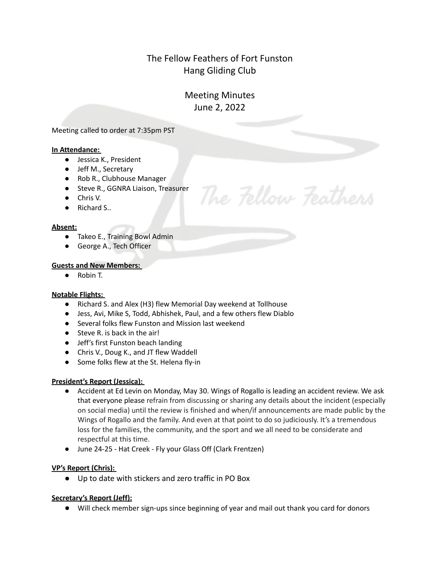# The Fellow Feathers of Fort Funston Hang Gliding Club

# Meeting Minutes June 2, 2022

The Fellow Feathers

Meeting called to order at 7:35pm PST

## **In Attendance:**

- Jessica K., President
- Jeff M., Secretary
- Rob R., Clubhouse Manager
- Steve R., GGNRA Liaison, Treasurer
- Chris V.
- Richard S..

### **Absent:**

- Takeo E., Training Bowl Admin
- George A., Tech Officer

## **Guests and New Members:**

● Robin T.

## **Notable Flights:**

- Richard S. and Alex (H3) flew Memorial Day weekend at Tollhouse
- Jess, Avi, Mike S, Todd, Abhishek, Paul, and a few others flew Diablo
- Several folks flew Funston and Mission last weekend
- Steve R. is back in the air!
- Jeff's first Funston beach landing
- Chris V., Doug K., and JT flew Waddell
- Some folks flew at the St. Helena fly-in

## **President's Report (Jessica):**

- Accident at Ed Levin on Monday, May 30. Wings of Rogallo is leading an accident review. We ask that everyone please refrain from discussing or sharing any details about the incident (especially on social media) until the review is finished and when/if announcements are made public by the Wings of Rogallo and the family. And even at that point to do so judiciously. It's a tremendous loss for the families, the community, and the sport and we all need to be considerate and respectful at this time.
- June 24-25 Hat Creek Fly your Glass Off (Clark Frentzen)

## **VP's Report (Chris):**

● Up to date with stickers and zero traffic in PO Box

## **Secretary's Report (Jeff):**

● Will check member sign-ups since beginning of year and mail out thank you card for donors